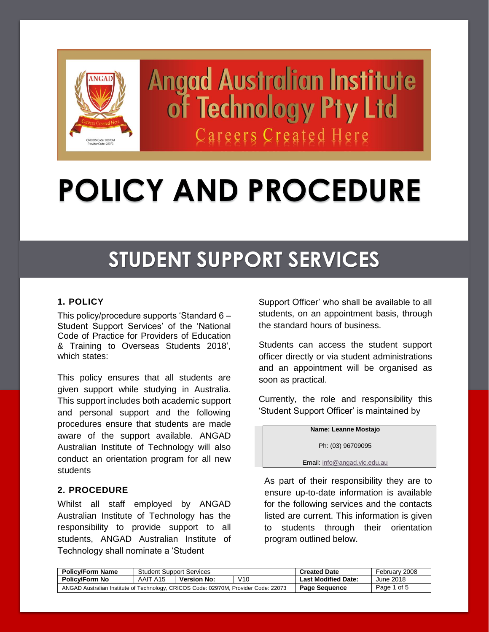

**Angad Australian Institute** of Technology Pty Ltd Careers Created Here

# **POLICY AND PROCEDURE**

# **STUDENT SUPPORT SERVICES**

# **1. POLICY**

This policy/procedure supports 'Standard 6 – Student Support Services' of the 'National Code of Practice for Providers of Education & Training to Overseas Students 2018', which states:

This policy ensures that all students are given support while studying in Australia. This support includes both academic support and personal support and the following procedures ensure that students are made aware of the support available. ANGAD Australian Institute of Technology will also conduct an orientation program for all new students

#### **2. PROCEDURE**

Whilst all staff employed by ANGAD Australian Institute of Technology has the responsibility to provide support to all students, ANGAD Australian Institute of Technology shall nominate a 'Student

Support Officer' who shall be available to all students, on an appointment basis, through the standard hours of business.

Students can access the student support officer directly or via student administrations and an appointment will be organised as soon as practical.

Currently, the role and responsibility this 'Student Support Officer' is maintained by

**Name: Leanne Mostajo**

Ph: (03) 96709095

Email[: info@angad.vic.edu.au](mailto:info@angad.vic.edu.au)

As part of their responsibility they are to ensure up-to-date information is available for the following services and the contacts listed are current. This information is given to students through their orientation program outlined below.

| <b>Policy/Form Name</b>                                                             | <b>Student Support Services</b>       |  | <b>Created Date</b>        | February 2008 |
|-------------------------------------------------------------------------------------|---------------------------------------|--|----------------------------|---------------|
| <b>Policy/Form No</b>                                                               | V10<br><b>Version No:</b><br>AAIT A15 |  | <b>Last Modified Date:</b> | June 2018     |
| ANGAD Australian Institute of Technology, CRICOS Code: 02970M, Provider Code: 22073 |                                       |  | <b>Page Sequence</b>       | Page 1 of 5   |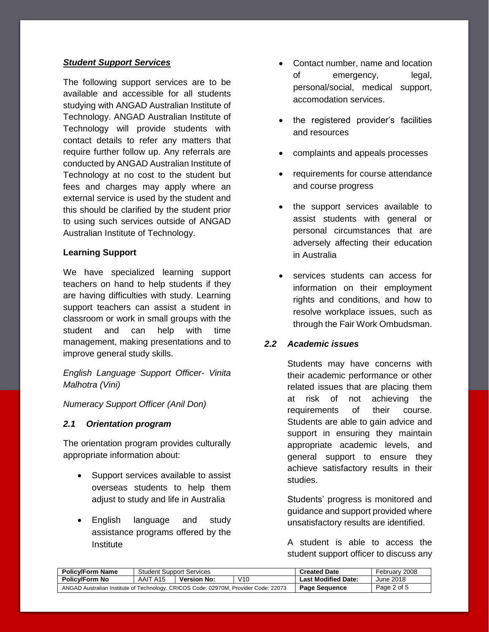#### *Student Support Services*

The following support services are to be available and accessible for all students studying with ANGAD Australian Institute of Technology. ANGAD Australian Institute of Technology will provide students with contact details to refer any matters that require further follow up. Any referrals are conducted by ANGAD Australian Institute of Technology at no cost to the student but fees and charges may apply where an external service is used by the student and this should be clarified by the student prior to using such services outside of ANGAD Australian Institute of Technology.

#### **Learning Support**

We have specialized learning support teachers on hand to help students if they are having difficulties with study. Learning support teachers can assist a student in classroom or work in small groups with the student and can help with time management, making presentations and to improve general study skills.

*English Language Support Officer- Vinita Malhotra (Vini)*

#### *Numeracy Support Officer (Anil Don)*

#### *2.1 Orientation program*

The orientation program provides culturally appropriate information about:

- Support services available to assist overseas students to help them adjust to study and life in Australia
- English language and study assistance programs offered by the Institute
- Contact number, name and location of emergency, legal, personal/social, medical support, accomodation services.
- the registered provider's facilities and resources
- complaints and appeals processes
- requirements for course attendance and course progress
- the support services available to assist students with general or personal circumstances that are adversely affecting their education in Australia
- services students can access for information on their employment rights and conditions, and how to resolve workplace issues, such as through the Fair Work Ombudsman.

#### *2.2 Academic issues*

Students may have concerns with their academic performance or other related issues that are placing them at risk of not achieving the requirements of their course. Students are able to gain advice and support in ensuring they maintain appropriate academic levels, and general support to ensure they achieve satisfactory results in their studies.

Students' progress is monitored and guidance and support provided where unsatisfactory results are identified.

A student is able to access the student support officer to discuss any

| <b>Policy/Form Name</b>                                                             | <b>Student Support Services</b> |                           | <b>Created Date</b>  | February 2008              |           |
|-------------------------------------------------------------------------------------|---------------------------------|---------------------------|----------------------|----------------------------|-----------|
| <b>Policy/Form No</b>                                                               | AAIT A15                        | V10<br><b>Version No:</b> |                      | <b>Last Modified Date:</b> | June 2018 |
| ANGAD Australian Institute of Technology, CRICOS Code: 02970M, Provider Code: 22073 |                                 |                           | <b>Page Sequence</b> | Page 2 of 5                |           |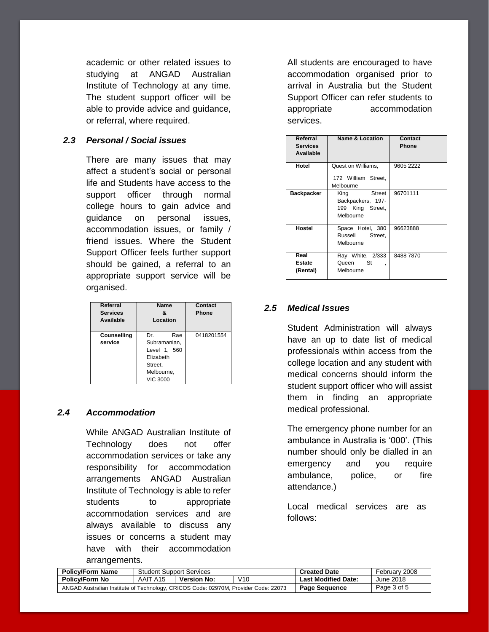academic or other related issues to studying at ANGAD Australian Institute of Technology at any time. The student support officer will be able to provide advice and guidance, or referral, where required.

#### *2.3 Personal / Social issues*

There are many issues that may affect a student's social or personal life and Students have access to the support officer through normal college hours to gain advice and guidance on personal issues, accommodation issues, or family / friend issues. Where the Student Support Officer feels further support should be gained, a referral to an appropriate support service will be organised.

| Referral<br><b>Services</b><br>Available | Name<br>ጼ<br>Location                                                                              | Contact<br><b>Phone</b> |
|------------------------------------------|----------------------------------------------------------------------------------------------------|-------------------------|
| Counselling<br>service                   | Dr<br>Rae<br>Subramanian,<br>Level 1, 560<br>Elizabeth<br>Street,<br>Melbourne,<br><b>VIC 3000</b> | 0418201554              |

# *2.4 Accommodation*

While ANGAD Australian Institute of Technology does not offer accommodation services or take any responsibility for accommodation arrangements ANGAD Australian Institute of Technology is able to refer students to appropriate accommodation services and are always available to discuss any issues or concerns a student may have with their accommodation arrangements.

All students are encouraged to have accommodation organised prior to arrival in Australia but the Student Support Officer can refer students to appropriate accommodation services.

| Referral<br>Services<br>Available | <b>Name &amp; Location</b>                                                  | Contact<br>Phone |
|-----------------------------------|-----------------------------------------------------------------------------|------------------|
| Hotel                             | Quest on Williams,<br>172 William Street,<br>Melbourne                      | 9605 2222        |
| <b>Backpacker</b>                 | <b>Street</b><br>King<br>Backpackers, 197-<br>199 King Street,<br>Melbourne | 96701111         |
| Hostel                            | Space Hotel, 380<br>Russell<br>Street.<br>Melbourne                         | 96623888         |
| Real<br>Estate<br>(Rental)        | Ray White, 2/333<br>Queen St<br>,<br>Melbourne                              | 84887870         |

#### *2.5 Medical Issues*

Student Administration will always have an up to date list of medical professionals within access from the college location and any student with medical concerns should inform the student support officer who will assist them in finding an appropriate medical professional.

The emergency phone number for an ambulance in Australia is '000'. (This number should only be dialled in an emergency and you require ambulance, police, or fire attendance.)

Local medical services are as follows:

| <b>Policy/Form Name</b>                                                             | <b>Student Support Services</b> |                           | <b>Created Date</b>  | February 2008              |           |
|-------------------------------------------------------------------------------------|---------------------------------|---------------------------|----------------------|----------------------------|-----------|
| Policv/Form No                                                                      | AAIT A15                        | V10<br><b>Version No:</b> |                      | <b>Last Modified Date:</b> | June 2018 |
| ANGAD Australian Institute of Technology, CRICOS Code: 02970M, Provider Code: 22073 |                                 |                           | <b>Page Sequence</b> | Page 3 of 5                |           |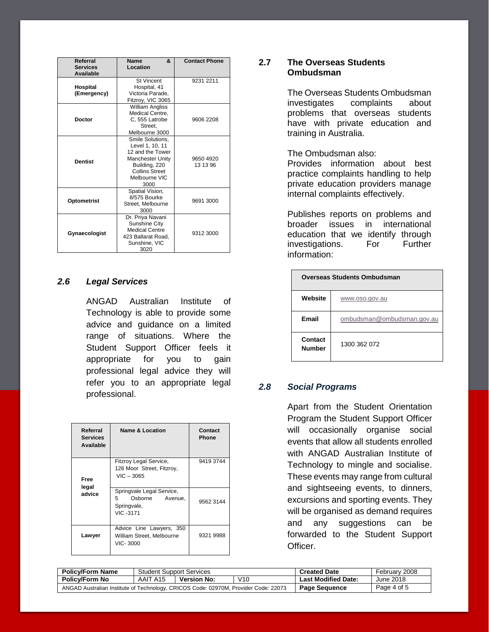| Referral<br><b>Services</b><br><b>Available</b> | &.<br><b>Name</b><br>Location                                                                                                                  | <b>Contact Phone</b>  |
|-------------------------------------------------|------------------------------------------------------------------------------------------------------------------------------------------------|-----------------------|
| Hospital<br>(Emergency)                         | <b>St Vincent</b><br>Hospital, 41<br>Victoria Parade,<br>Fitzroy, VIC 3065                                                                     | 9231 2211             |
| <b>Doctor</b>                                   | <b>William Angliss</b><br>Medical Centre,<br>C, 555 Latrobe<br>Street.<br>Melbourne 3000                                                       | 9606 2208             |
| <b>Dentist</b>                                  | Smile Solutions.<br>Level 1, 10, 11<br>12 and the Tower<br><b>Manchester Unity</b><br>Building, 220<br>Collins Street<br>Melbourne VIC<br>3000 | 9650 4920<br>13 13 96 |
| <b>Optometrist</b>                              | Spatial Vision,<br>8/575 Bourke<br>Street, Melbourne<br>3000                                                                                   | 9691 3000             |
| Gynaecologist                                   | Dr. Priya Navani<br>Sunshine City<br><b>Medical Centre</b><br>423 Ballarat Road,<br>Sunshine, VIC<br>3020                                      | 9312 3000             |

### *2.6 Legal Services*

ANGAD Australian Institute of Technology is able to provide some advice and guidance on a limited range of situations. Where the Student Support Officer feels it appropriate for you to gain professional legal advice they will refer you to an appropriate legal professional.

| Referral<br><b>Services</b><br>Available | <b>Name &amp; Location</b>                                                        | Contact<br>Phone |
|------------------------------------------|-----------------------------------------------------------------------------------|------------------|
| Free                                     | Fitzroy Legal Service,<br>126 Moor Street, Fitzroy,<br>$VIC - 3065$               | 9419 3744        |
| legal<br>advice                          | Springvale Legal Service,<br>Osborne<br>5.<br>Avenue.<br>Springvale,<br>VIC -3171 | 9562 3144        |
| Lawyer                                   | Advice Line Lawyers, 350<br>William Street, Melbourne<br>VIC-3000                 | 9321 9988        |

# **2.7 The Overseas Students Ombudsman**

The Overseas Students Ombudsman investigates complaints about problems that overseas students have with private education and training in Australia.

The Ombudsman also:

Provides information about best practice complaints handling to help private education providers manage internal complaints effectively.

Publishes reports on problems and broader issues in international education that we identify through investigations. For Further information:

| <b>Overseas Students Ombudsman</b> |                            |  |  |  |
|------------------------------------|----------------------------|--|--|--|
| Website                            | www.oso.gov.au             |  |  |  |
| Email                              | ombudsman@ombudsman.gov.au |  |  |  |
| Contact<br><b>Number</b>           | 1300 362 072               |  |  |  |

# *2.8 Social Programs*

Apart from the Student Orientation Program the Student Support Officer will occasionally organise social events that allow all students enrolled with ANGAD Australian Institute of Technology to mingle and socialise. These events may range from cultural and sightseeing events, to dinners, excursions and sporting events. They will be organised as demand requires and any suggestions can be forwarded to the Student Support Officer.

| <b>Policy/Form Name</b>                                                             | <b>Student Support Services</b>       |  | <b>Created Date</b>        | February 2008 |
|-------------------------------------------------------------------------------------|---------------------------------------|--|----------------------------|---------------|
| <b>Policy/Form No</b>                                                               | V10<br>AAIT A15<br><b>Version No:</b> |  | <b>Last Modified Date:</b> | June 2018     |
| ANGAD Australian Institute of Technology, CRICOS Code: 02970M, Provider Code: 22073 |                                       |  | <b>Page Sequence</b>       | Page 4 of 5   |